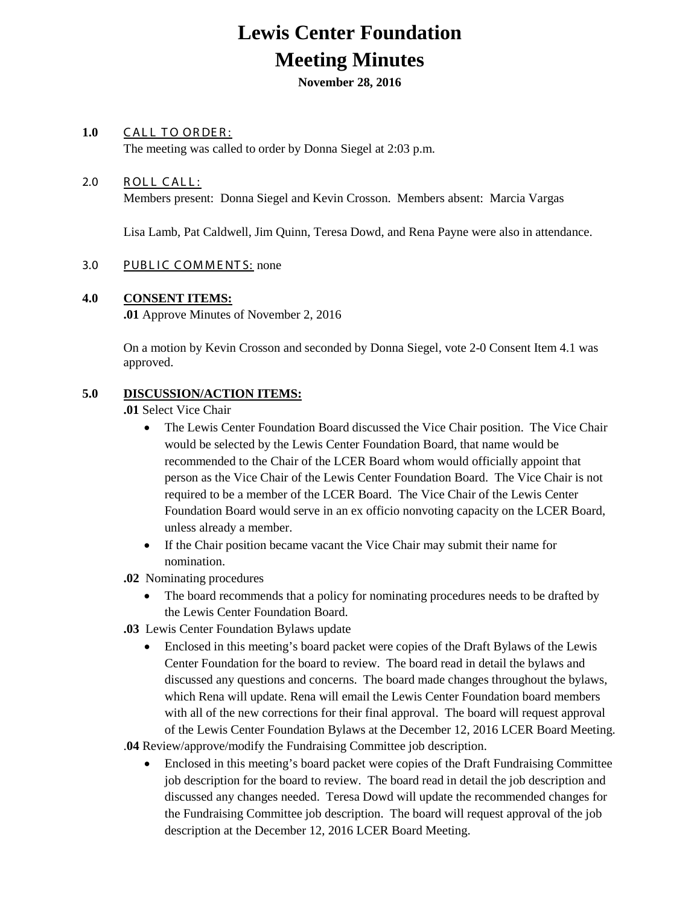# **Lewis Center Foundation Meeting Minutes**

**November 28, 2016** 

## 1.0 CALL TO ORDER:

The meeting was called to order by Donna Siegel at 2:03 p.m.

### 2.0 ROLL CALL:

Members present: Donna Siegel and Kevin Crosson. Members absent: Marcia Vargas

Lisa Lamb, Pat Caldwell, Jim Quinn, Teresa Dowd, and Rena Payne were also in attendance.

### 3.0 PUBLIC COMMENTS: none

#### **4.0 CONSENT ITEMS:**

**.01** Approve Minutes of November 2, 2016

On a motion by Kevin Crosson and seconded by Donna Siegel, vote 2-0 Consent Item 4.1 was approved.

### **5.0 DISCUSSION/ACTION ITEMS:**

**.01** Select Vice Chair

- The Lewis Center Foundation Board discussed the Vice Chair position. The Vice Chair would be selected by the Lewis Center Foundation Board, that name would be recommended to the Chair of the LCER Board whom would officially appoint that person as the Vice Chair of the Lewis Center Foundation Board. The Vice Chair is not required to be a member of the LCER Board. The Vice Chair of the Lewis Center Foundation Board would serve in an ex officio nonvoting capacity on the LCER Board, unless already a member.
- If the Chair position became vacant the Vice Chair may submit their name for nomination.
- **.02** Nominating procedures
	- The board recommends that a policy for nominating procedures needs to be drafted by the Lewis Center Foundation Board.
- **.03** Lewis Center Foundation Bylaws update
	- Enclosed in this meeting's board packet were copies of the Draft Bylaws of the Lewis Center Foundation for the board to review. The board read in detail the bylaws and discussed any questions and concerns. The board made changes throughout the bylaws, which Rena will update. Rena will email the Lewis Center Foundation board members with all of the new corrections for their final approval. The board will request approval of the Lewis Center Foundation Bylaws at the December 12, 2016 LCER Board Meeting.

.**04** Review/approve/modify the Fundraising Committee job description.

• Enclosed in this meeting's board packet were copies of the Draft Fundraising Committee job description for the board to review. The board read in detail the job description and discussed any changes needed. Teresa Dowd will update the recommended changes for the Fundraising Committee job description. The board will request approval of the job description at the December 12, 2016 LCER Board Meeting.